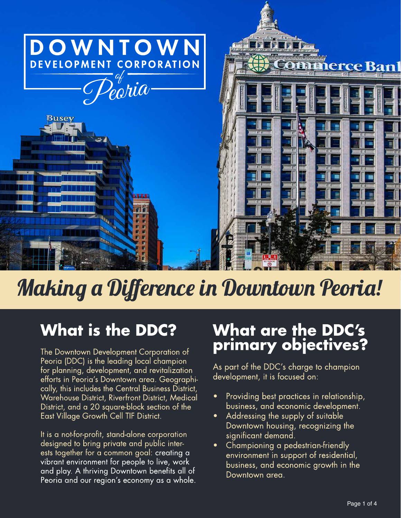

# **Making a Difference in Downtown Peoria!**

# **What is the DDC?**

The Downtown Development Corporation of Peoria (DDC) is the leading local champion for planning, development, and revitalization efforts in Peoria's Downtown area. Geographically, this includes the Central Business District, Warehouse District, Riverfront District, Medical District, and a 20 square-block section of the East Village Growth Cell TIF District.

It is a not-for-profit, stand-alone corporation designed to bring private and public interests together for a common goal: creating a vibrant environment for people to live, work and play. A thriving Downtown benefits all of Peoria and our region's economy as a whole.

# **What are the DDC's** primary objectives?

As part of the DDC's charge to champion development, it is focused on:

- Providing best practices in relationship, business, and economic development.
- Addressing the supply of suitable Downtown housing, recognizing the significant demand.
- Championing a pedestrian-friendly environment in support of residential, business, and economic growth in the Downtown area.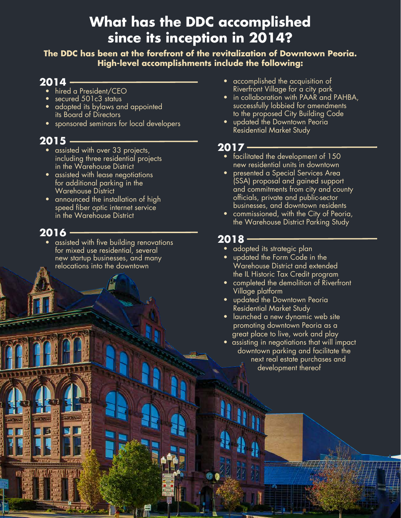# **What has the DDC accomplished since its inception in 2014?**

**The DDC has been at the forefront of the revitalization of Downtown Peoria. High-level accomplishments include the following:**

#### **2014**

- hired a President/CEO
- secured 501c3 status
- adopted its bylaws and appointed its Board of Directors
- sponsored seminars for local developers

#### **2015**

- assisted with over 33 projects, including three residential projects in the Warehouse District
- assisted with lease negotiations for additional parking in the Warehouse District
- announced the installation of high speed fiber optic internet service in the Warehouse District

### **2016**

• assisted with five building renovations for mixed use residential, several new startup businesses, and many relocations into the downtown

- accomplished the acquisition of Riverfront Village for a city park
- in collaboration with PAAR and PAHBA, successfully lobbied for amendments to the proposed City Building Code
- updated the Downtown Peoria Residential Market Study

### **2017**

- facilitated the development of 150 new residential units in downtown
- presented a Special Services Area (SSA) proposal and gained support and commitments from city and county officials, private and public-sector businesses, and downtown residents
- commissioned, with the City of Peoria, the Warehouse District Parking Study

### **2018**

- adopted its strategic plan
- updated the Form Code in the Warehouse District and extended the IL Historic Tax Credit program
- completed the demolition of Riverfront Village platform
- updated the Downtown Peoria Residential Market Study
- launched a new dynamic web site promoting downtown Peoria as a great place to live, work and play
- assisting in negotiations that will impact downtown parking and facilitate the next real estate purchases and development thereof

Page 2 of 4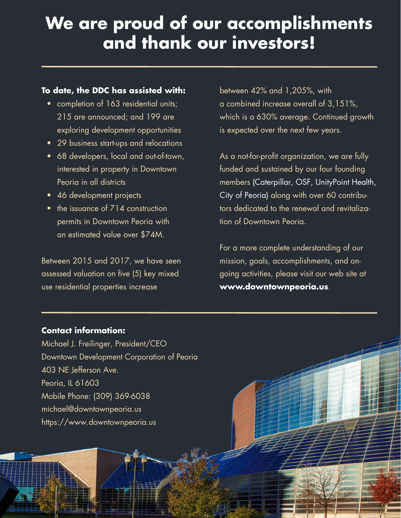# **We are proud of our accomplishments and thank our investors!**

#### **To date, the DDC has assisted with:**

- completion of 163 residential units; 215 are announced; and 199 are exploring development opportunities
- • 29 business start-ups and relocations
- 68 developers, local and out-of-town, interested in property in Downtown Peoria in all districts
- 46 development projects
- the issuance of 714 construction permits in Downtown Peoria with an estimated value over \$74M.

Between 2015 and 2017, we have seen assessed valuation on five (5) key mixed use residential properties increase

between 42% and 1,205%, with a combined increase overall of 3,151%, which is a 630% average. Continued growth is expected over the next few years.

As a not-for-profit organization, we are fully funded and sustained by our four founding members (Caterpillar, OSF, UnityPoint Health, City of Peoria) along with over 60 contributors dedicated to the renewal and revitalization of Downtown Peoria.

For a more complete understanding of our mission, goals, accomplishments, and ongoing activities, please visit our web site at **www.downtownpeoria.us**.

Page 3 of 4

#### **Contact information:**

Michael J. Freilinger, President/CEO Downtown Development Corporation of Peoria 403 NE Jefferson Ave. Peoria, IL 61603 Mobile Phone: (309) 369-6038 michael@downtownpeoria.us https://www.downtownpeoria.us